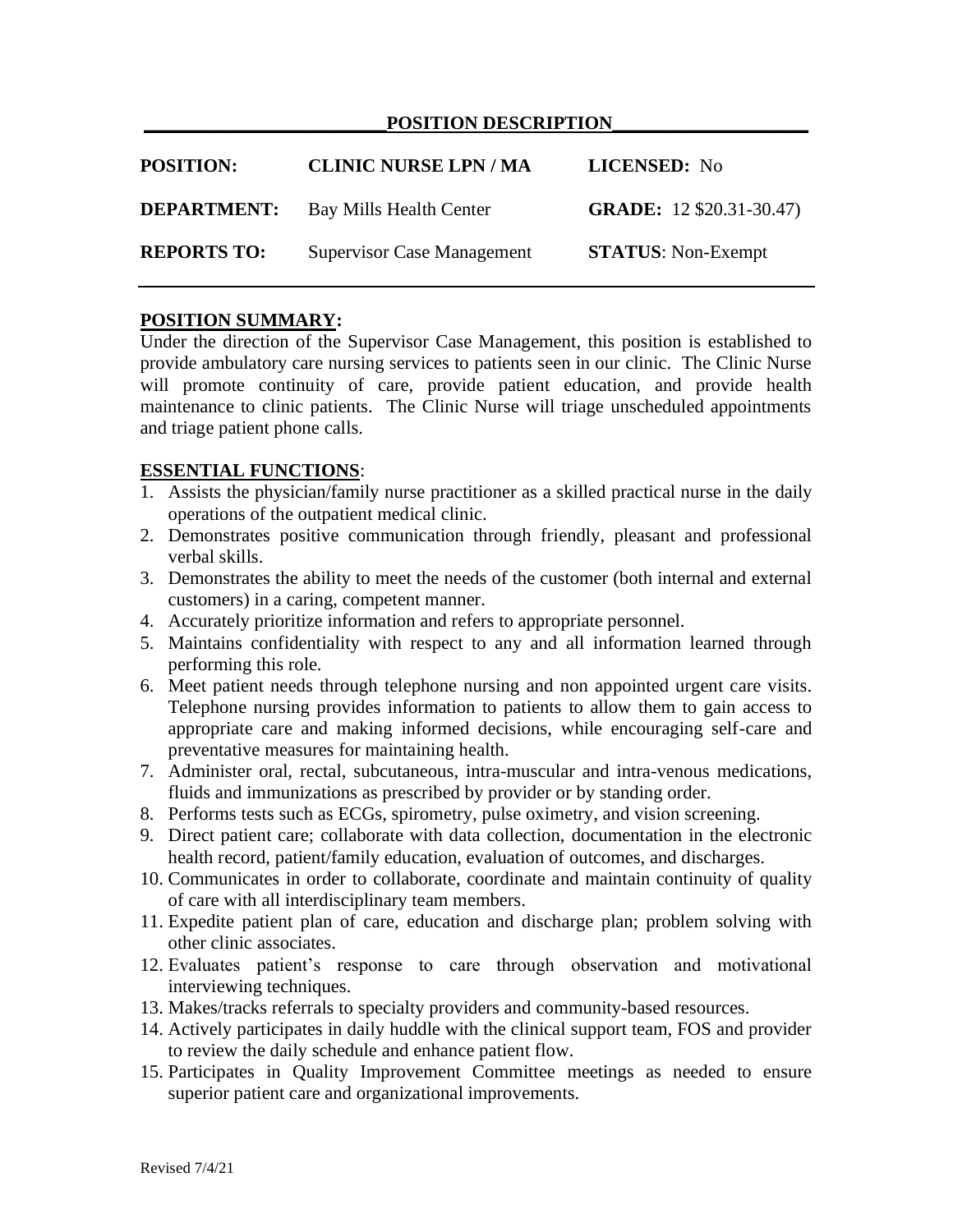### POSITION DESCRIPTION

| <b>POSITION:</b>   | <b>CLINIC NURSE LPN / MA</b>      | LICENSED: No                    |
|--------------------|-----------------------------------|---------------------------------|
| <b>DEPARTMENT:</b> | Bay Mills Health Center           | <b>GRADE:</b> 12 \$20.31-30.47) |
| <b>REPORTS TO:</b> | <b>Supervisor Case Management</b> | <b>STATUS:</b> Non-Exempt       |

### **POSITION SUMMARY:**

Under the direction of the Supervisor Case Management, this position is established to provide ambulatory care nursing services to patients seen in our clinic. The Clinic Nurse will promote continuity of care, provide patient education, and provide health maintenance to clinic patients. The Clinic Nurse will triage unscheduled appointments and triage patient phone calls.

### **ESSENTIAL FUNCTIONS**:

- 1. Assists the physician/family nurse practitioner as a skilled practical nurse in the daily operations of the outpatient medical clinic.
- 2. Demonstrates positive communication through friendly, pleasant and professional verbal skills.
- 3. Demonstrates the ability to meet the needs of the customer (both internal and external customers) in a caring, competent manner.
- 4. Accurately prioritize information and refers to appropriate personnel.
- 5. Maintains confidentiality with respect to any and all information learned through performing this role.
- 6. Meet patient needs through telephone nursing and non appointed urgent care visits. Telephone nursing provides information to patients to allow them to gain access to appropriate care and making informed decisions, while encouraging self-care and preventative measures for maintaining health.
- 7. Administer oral, rectal, subcutaneous, intra-muscular and intra-venous medications, fluids and immunizations as prescribed by provider or by standing order.
- 8. Performs tests such as ECGs, spirometry, pulse oximetry, and vision screening.
- 9. Direct patient care; collaborate with data collection, documentation in the electronic health record, patient/family education, evaluation of outcomes, and discharges.
- 10. Communicates in order to collaborate, coordinate and maintain continuity of quality of care with all interdisciplinary team members.
- 11. Expedite patient plan of care, education and discharge plan; problem solving with other clinic associates.
- 12. Evaluates patient's response to care through observation and motivational interviewing techniques.
- 13. Makes/tracks referrals to specialty providers and community-based resources.
- 14. Actively participates in daily huddle with the clinical support team, FOS and provider to review the daily schedule and enhance patient flow.
- 15. Participates in Quality Improvement Committee meetings as needed to ensure superior patient care and organizational improvements.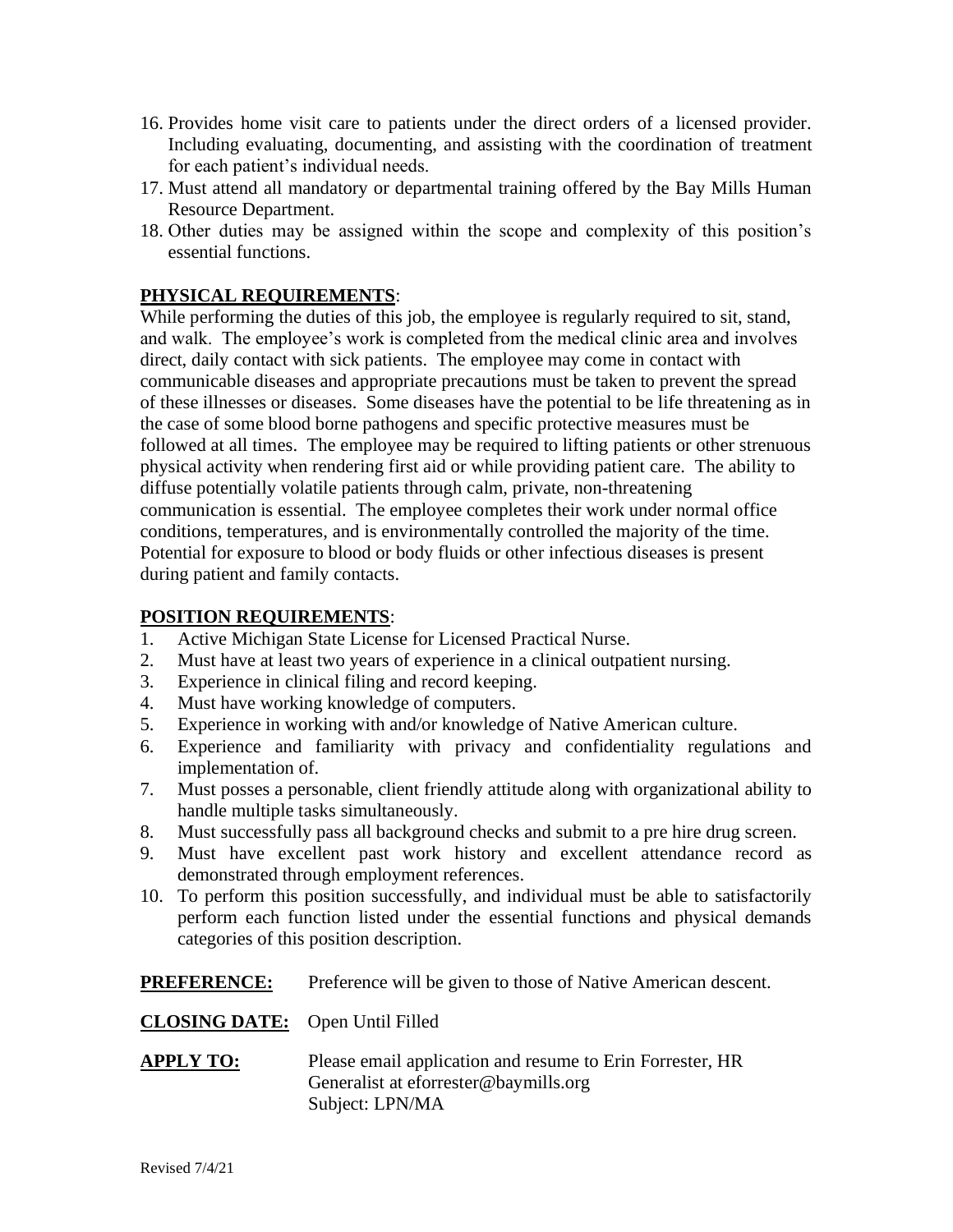- 16. Provides home visit care to patients under the direct orders of a licensed provider. Including evaluating, documenting, and assisting with the coordination of treatment for each patient's individual needs.
- 17. Must attend all mandatory or departmental training offered by the Bay Mills Human Resource Department.
- 18. Other duties may be assigned within the scope and complexity of this position's essential functions.

# **PHYSICAL REQUIREMENTS**:

While performing the duties of this job, the employee is regularly required to sit, stand, and walk. The employee's work is completed from the medical clinic area and involves direct, daily contact with sick patients. The employee may come in contact with communicable diseases and appropriate precautions must be taken to prevent the spread of these illnesses or diseases. Some diseases have the potential to be life threatening as in the case of some blood borne pathogens and specific protective measures must be followed at all times. The employee may be required to lifting patients or other strenuous physical activity when rendering first aid or while providing patient care. The ability to diffuse potentially volatile patients through calm, private, non-threatening communication is essential. The employee completes their work under normal office conditions, temperatures, and is environmentally controlled the majority of the time. Potential for exposure to blood or body fluids or other infectious diseases is present during patient and family contacts.

# **POSITION REQUIREMENTS**:

- 1. Active Michigan State License for Licensed Practical Nurse.
- 2. Must have at least two years of experience in a clinical outpatient nursing.
- 3. Experience in clinical filing and record keeping.
- 4. Must have working knowledge of computers.
- 5. Experience in working with and/or knowledge of Native American culture.
- 6. Experience and familiarity with privacy and confidentiality regulations and implementation of.
- 7. Must posses a personable, client friendly attitude along with organizational ability to handle multiple tasks simultaneously.
- 8. Must successfully pass all background checks and submit to a pre hire drug screen.
- 9. Must have excellent past work history and excellent attendance record as demonstrated through employment references.
- 10. To perform this position successfully, and individual must be able to satisfactorily perform each function listed under the essential functions and physical demands categories of this position description.

**PREFERENCE:** Preference will be given to those of Native American descent.

# **CLOSING DATE:** Open Until Filled

**APPLY TO:** Please email application and resume to Erin Forrester, HR Generalist at eforrester@baymills.org Subject: LPN/MA